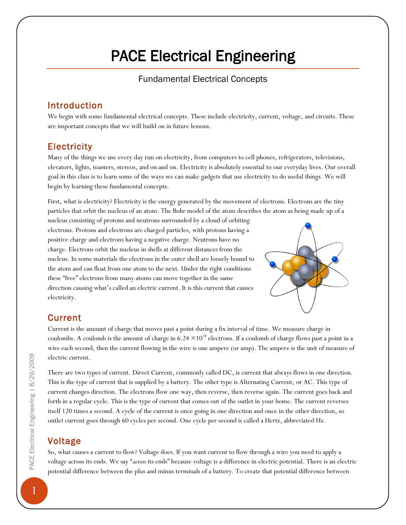# PACE Electrical Engineering

#### Fundamental Electrical Concepts

#### Introduction

We begin with some fundamental electrical concepts. These include electricity, current, voltage, and circuits. These are important concepts that we will build on in future lessons.

#### **Electricity**

Many of the things we use every day run on electricity, from computers to cell phones, refrigerators, televisions, elevators, lights, toasters, stereos, and on and on. Electricity is absolutely essential to our everyday lives. Our overall goal in this class is to learn some of the ways we can make gadgets that use electricity to do useful things. We will begin by learning these fundamental concepts.

First, what is electricity? Electricity is the energy generated by the movement of electrons. Electrons are the tiny particles that orbit the nucleus of an atom. The Bohr model of the atom describes the atom as being made up of a

nucleus consisting of protons and neutrons surrounded by a cloud of orbiting electrons. Protons and electrons are charged particles, with protons having a positive charge and electrons having a negative charge. Neutrons have no charge. Electrons orbit the nucleus in shells at different distances from the nucleus. In some materials the electrons in the outer shell are loosely bound to the atom and can float from one atom to the next. Under the right conditions these "free" electrons from many atoms can move together in the same direction causing what's called an electric current. It is this current that causes electricity.



# **Current**

Current is the amount of charge that moves past a point during a fix interval of time. We measure charge in coulombs. A coulomb is the amount of charge in  $6.24 \times 10^{18}$  electrons. If a coulomb of charge flows past a point in a wire each second, then the current flowing in the wire is one ampere (or amp). The ampere is the unit of measure of electric current.

There are two types of current. Direct Current, commonly called DC, is current that always flows in one direction. This is the type of current that is supplied by a battery. The other type is Alternating Current, or AC. This type of current changes direction. The electrons flow one way, then reverse, then reverse again. The current goes back and forth in a regular cycle. This is the type of current that comes out of the outlet in your home. The current reverses itself 120 times a second. A cycle of the current is once going in one direction and once in the other direction, so outlet current goes through 60 cycles per second. One cycle per second is called a Hertz, abbreviated Hz.

## Voltage

So, what causes a current to flow? Voltage does. If you want current to flow through a wire you need to apply a voltage across its ends. We say "*across* its ends" because voltage is a difference in electric potential. There is an electric potential difference between the plus and minus terminals of a battery. To create that potential difference between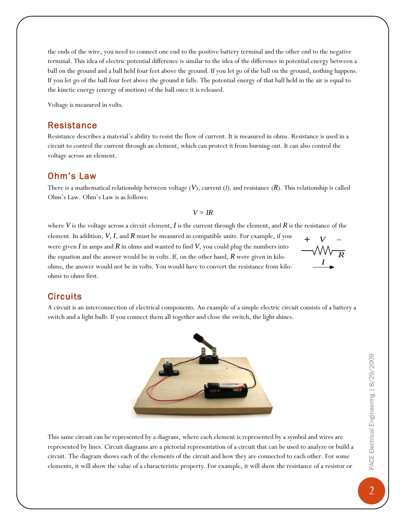the ends of the wire, you need to connect one end to the positive battery terminal and the other end to the negative terminal. This idea of electric potential difference is similar to the idea of the difference in potential energy between a ball on the ground and a ball held four feet above the ground. If you let go of the ball on the ground, nothing happens. If you let go of the ball four feet above the ground it falls. The potential energy of that ball held in the air is equal to the kinetic energy (energy of motion) of the ball once it is released.

Voltage is measured in volts.

#### Resistance

Resistance describes a material's ability to resist the flow of current. It is measured in ohms. Resistance is used in a circuit to control the current through an element, which can protect it from burning out. It can also control the voltage across an element.

#### Ohm's Law

There is a mathematical relationship between voltage  $(V)$ , current  $(I)$ , and resistance  $(R)$ . This relationship is called Ohm's Law. Ohm's Law is as follows:

#### *V = IR*

where  $V$  is the voltage across a circuit element,  $I$  is the current through the element, and  $R$  is the resistance of the element. In addition, *V*, *I*, and *R* must be measured in compatible units. For example, if you were given *I* in amps and *R* in ohms and wanted to find *V*, you could plug the numbers into the equation and the answer would be in volts. If, on the other hand, *R* were given in kiloohms, the answer would not be in volts. You would have to convert the resistance from kiloohms to ohms first.  $+$   $V$  - $\mathbb{W}_{\overline{R}}$ *I*

## **Circuits**

A circuit is an interconnection of electrical components. An example of a simple electric circuit consists of a battery a switch and a light bulb. If you connect them all together and close the switch, the light shines.



This same circuit can be represented by a diagram, where each element is represented by a symbol and wires are represented by lines. Circuit diagrams are a pictorial representation of a circuit that can be used to analyze or build a circuit. The diagram shows each of the elements of the circuit and how they are connected to each other. For some elements, it will show the value of a characteristic property. For example, it will show the resistance of a resistor or